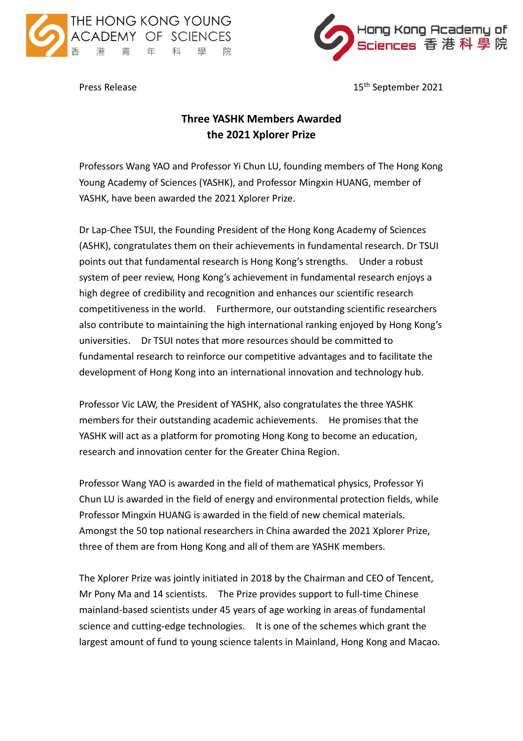



Press Release

15<sup>th</sup> September 2021

## **Three YASHK Members Awarded the 2021 Xplorer Prize**

Professors Wang YAO and Professor Yi Chun LU, founding members of The Hong Kong Young Academy of Sciences (YASHK), and Professor Mingxin HUANG, member of YASHK, have been awarded the 2021 Xplorer Prize.

Dr Lap-Chee TSUI, the Founding President of the Hong Kong Academy of Sciences (ASHK), congratulates them on their achievements in fundamental research. Dr TSUI points out that fundamental research is Hong Kong's strengths. Under a robust system of peer review, Hong Kong's achievement in fundamental research enjoys a high degree of credibility and recognition and enhances our scientific research competitiveness in the world. Furthermore, our outstanding scientific researchers also contribute to maintaining the high international ranking enjoyed by Hong Kong's universities. Dr TSUI notes that more resources should be committed to fundamental research to reinforce our competitive advantages and to facilitate the development of Hong Kong into an international innovation and technology hub.

Professor Vic LAW, the President of YASHK, also congratulates the three YASHK members for their outstanding academic achievements. He promises that the YASHK will act as a platform for promoting Hong Kong to become an education, research and innovation center for the Greater China Region.

Professor Wang YAO is awarded in the field of mathematical physics, Professor Yi Chun LU is awarded in the field of energy and environmental protection fields, while Professor Mingxin HUANG is awarded in the field of new chemical materials. Amongst the 50 top national researchers in China awarded the 2021 Xplorer Prize, three of them are from Hong Kong and all of them are YASHK members.

The Xplorer Prize was jointly initiated in 2018 by the Chairman and CEO of Tencent, Mr Pony Ma and 14 scientists. The Prize provides support to full-time Chinese mainland-based scientists under 45 years of age working in areas of fundamental science and cutting-edge technologies. It is one of the schemes which grant the largest amount of fund to young science talents in Mainland, Hong Kong and Macao.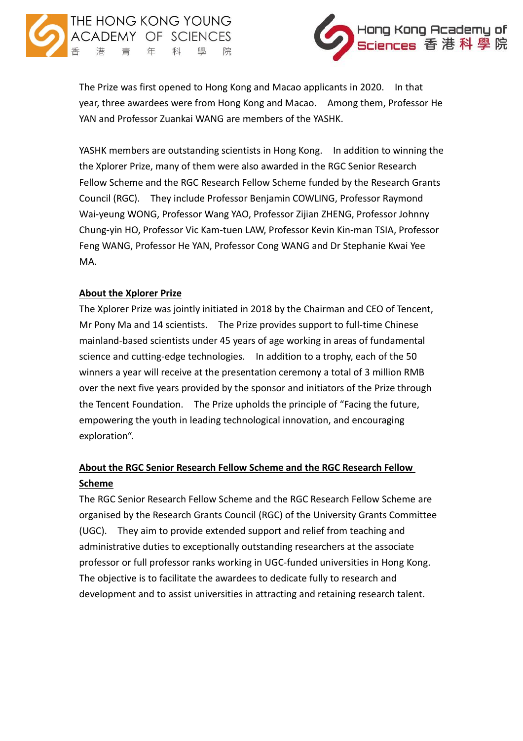



The Prize was first opened to Hong Kong and Macao applicants in 2020. In that year, three awardees were from Hong Kong and Macao. Among them, Professor He YAN and Professor Zuankai WANG are members of the YASHK.

YASHK members are outstanding scientists in Hong Kong. In addition to winning the the Xplorer Prize, many of them were also awarded in the RGC Senior Research Fellow Scheme and the RGC Research Fellow Scheme funded by the Research Grants Council (RGC). They include Professor Benjamin COWLING, Professor Raymond Wai-yeung WONG, Professor Wang YAO, Professor Zijian ZHENG, Professor Johnny Chung-yin HO, Professor Vic Kam-tuen LAW, Professor Kevin Kin-man TSIA, Professor Feng WANG, Professor He YAN, Professor Cong WANG and Dr Stephanie Kwai Yee MA.

## **About the Xplorer Prize**

The Xplorer Prize was jointly initiated in 2018 by the Chairman and CEO of Tencent, Mr Pony Ma and 14 scientists. The Prize provides support to full-time Chinese mainland-based scientists under 45 years of age working in areas of fundamental science and cutting-edge technologies. In addition to a trophy, each of the 50 winners a year will receive at the presentation ceremony a total of 3 million RMB over the next five years provided by the sponsor and initiators of the Prize through the Tencent Foundation. The Prize upholds the principle of "Facing the future, empowering the youth in leading technological innovation, and encouraging exploration".

## **About the RGC Senior Research Fellow Scheme and the RGC Research Fellow Scheme**

The RGC Senior Research Fellow Scheme and the RGC Research Fellow Scheme are organised by the Research Grants Council (RGC) of the University Grants Committee (UGC). They aim to provide extended support and relief from teaching and administrative duties to exceptionally outstanding researchers at the associate professor or full professor ranks working in UGC-funded universities in Hong Kong. The objective is to facilitate the awardees to dedicate fully to research and development and to assist universities in attracting and retaining research talent.